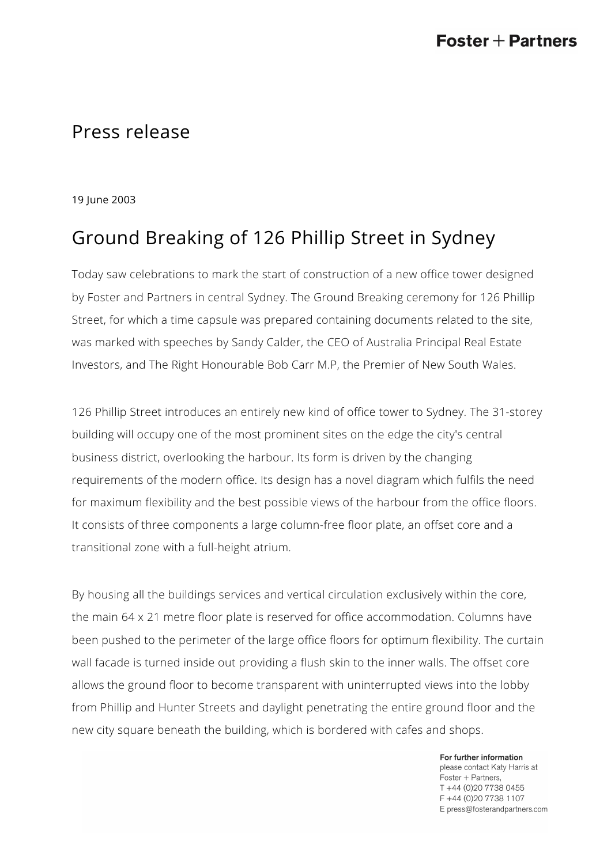## Press release

19 June 2003

## Ground Breaking of 126 Phillip Street in Sydney

Today saw celebrations to mark the start of construction of a new office tower designed by Foster and Partners in central Sydney. The Ground Breaking ceremony for 126 Phillip Street, for which a time capsule was prepared containing documents related to the site, was marked with speeches by Sandy Calder, the CEO of Australia Principal Real Estate Investors, and The Right Honourable Bob Carr M.P, the Premier of New South Wales.

126 Phillip Street introduces an entirely new kind of office tower to Sydney. The 31-storey building will occupy one of the most prominent sites on the edge the city's central business district, overlooking the harbour. Its form is driven by the changing requirements of the modern office. Its design has a novel diagram which fulfils the need for maximum flexibility and the best possible views of the harbour from the office floors. It consists of three components a large column-free floor plate, an offset core and a transitional zone with a full-height atrium.

By housing all the buildings services and vertical circulation exclusively within the core, the main 64 x 21 metre floor plate is reserved for office accommodation. Columns have been pushed to the perimeter of the large office floors for optimum flexibility. The curtain wall facade is turned inside out providing a flush skin to the inner walls. The offset core allows the ground floor to become transparent with uninterrupted views into the lobby from Phillip and Hunter Streets and daylight penetrating the entire ground floor and the new city square beneath the building, which is bordered with cafes and shops.

> For further information please contact Katy Harris at Foster + Partners, T +44 (0)20 7738 0455 F +44 (0)20 7738 1107 E press@fosterandpartners.com